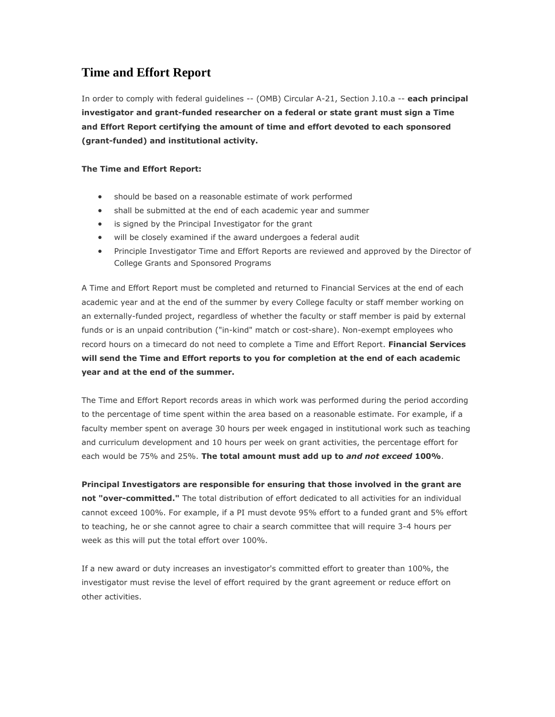## **Time and Effort Report**

In order to comply with federal guidelines -- (OMB) Circular A-21, Section J.10.a -- **each principal investigator and grant-funded researcher on a federal or state grant must sign a Time and Effort Report certifying the amount of time and effort devoted to each sponsored (grant-funded) and institutional activity.** 

## **The Time and Effort Report:**

- should be based on a reasonable estimate of work performed
- shall be submitted at the end of each academic year and summer
- is signed by the Principal Investigator for the grant
- will be closely examined if the award undergoes a federal audit
- Principle Investigator Time and Effort Reports are reviewed and approved by the Director of College Grants and Sponsored Programs

A Time and Effort Report must be completed and returned to Financial Services at the end of each academic year and at the end of the summer by every College faculty or staff member working on an externally-funded project, regardless of whether the faculty or staff member is paid by external funds or is an unpaid contribution ("in-kind" match or cost-share). Non-exempt employees who record hours on a timecard do not need to complete a Time and Effort Report. **Financial Services will send the Time and Effort reports to you for completion at the end of each academic year and at the end of the summer.**

The Time and Effort Report records areas in which work was performed during the period according to the percentage of time spent within the area based on a reasonable estimate. For example, if a faculty member spent on average 30 hours per week engaged in institutional work such as teaching and curriculum development and 10 hours per week on grant activities, the percentage effort for each would be 75% and 25%. **The total amount must add up to** *and not exceed* **100%**.

**Principal Investigators are responsible for ensuring that those involved in the grant are not "over-committed."** The total distribution of effort dedicated to all activities for an individual cannot exceed 100%. For example, if a PI must devote 95% effort to a funded grant and 5% effort to teaching, he or she cannot agree to chair a search committee that will require 3-4 hours per week as this will put the total effort over 100%.

If a new award or duty increases an investigator's committed effort to greater than 100%, the investigator must revise the level of effort required by the grant agreement or reduce effort on other activities.